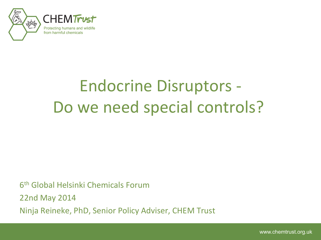

# Endocrine Disruptors - Do we need special controls?

6 th Global Helsinki Chemicals Forum

22nd May 2014

Ninja Reineke, PhD, Senior Policy Adviser, CHEM Trust

www.chemtrust.org.uk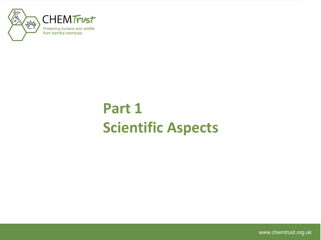

# **Part 1 Scientific Aspects**

www.chemtrust.org.uk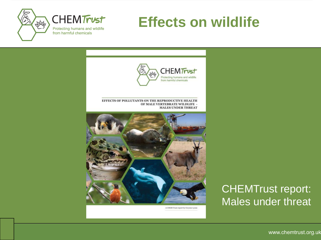

## **Effects on wildlife**



A CHEM Trust report by Gwynne Lyons

### CHEMTrust report: Males under threat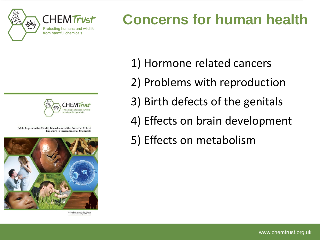

# **Concerns for human health**



Male Reproductive Health Disorders and the Potential Role of **Exposure to Environmental Chemicals** 



Written by Professor Richard Sharp<br>Commissioned by CHEM Tru

- 1) Hormone related cancers
- 2) Problems with reproduction
- 3) Birth defects of the genitals
- 4) Effects on brain development
- 5) Effects on metabolism

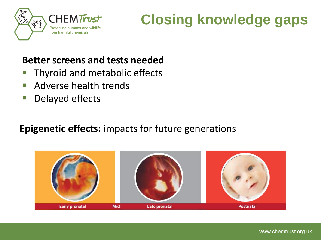

# **Closing knowledge gaps**

#### **Better screens and tests needed**

- **Thyroid and metabolic effects**
- **Adverse health trends**
- Delayed effects

#### **Epigenetic effects:** impacts for future generations

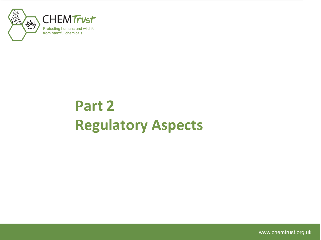

# **Part 2 Regulatory Aspects**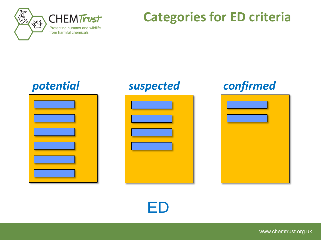

## **Categories for ED criteria**







## *potential suspected confirmed*



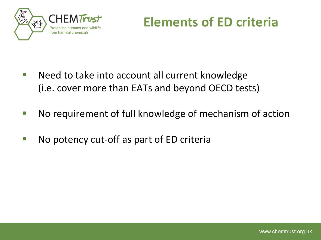

**Elements of ED criteria**

- Need to take into account all current knowledge (i.e. cover more than EATs and beyond OECD tests)
- No requirement of full knowledge of mechanism of action
- No potency cut-off as part of ED criteria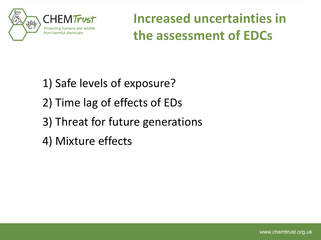

**Increased uncertainties in the assessment of EDCs**

- 1) Safe levels of exposure?
- 2) Time lag of effects of EDs
- 3) Threat for future generations
- 4) Mixture effects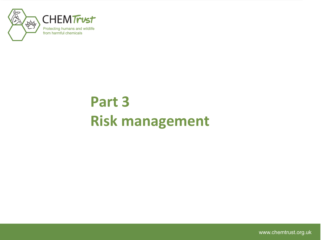

# **Part 3 Risk management**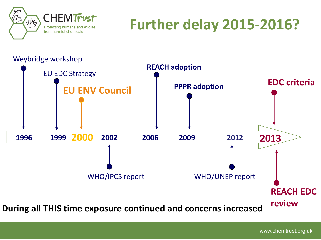

# **Further delay 2015-2016?**



www.chemtrust.org.uk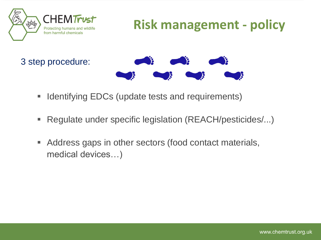

## **Risk management - policy**

3 step procedure:



- **I** Identifying EDCs (update tests and requirements)
- Regulate under specific legislation (REACH/pesticides/...)
- Address gaps in other sectors (food contact materials, medical devices…)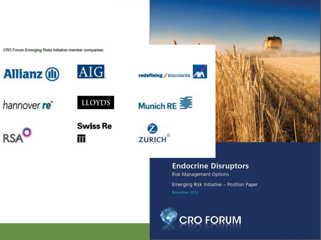CRO Forum Emerging Risks Initiative member companies:

**Allianz (II)** 











**Swiss Re** 

m,







#### **Endocrine Disruptors**

**Risk Management Options** Emerging Risk Initiative - Position Paper November 2012

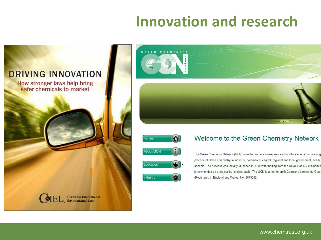# **Innovation and research**







Industry

#### Welcome to the Green Chemistry Network

The Green Chemistry Network (GCN) aims to promote awareness and facilitate education, training practice of Green Chemistry in industry, commerce, central, regional and local government, acade schools. The network was initially launched in 1998 with funding from the Royal Society of Chemis is now funded on a project-by- project basis. The GCN is a not-for-profit Company Limited by Guar (Registered in England and Wales, No: 6879262).